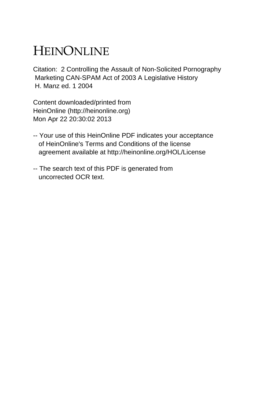# HEINONLINE

Citation: 2 Controlling the Assault of Non-Solicited Pornography Marketing CAN-SPAM Act of 2003 A Legislative History H. Manz ed. 1 2004

Content downloaded/printed from HeinOnline (http://heinonline.org) Mon Apr 22 20:30:02 2013

- -- Your use of this HeinOnline PDF indicates your acceptance of HeinOnline's Terms and Conditions of the license agreement available at http://heinonline.org/HOL/License
- -- The search text of this PDF is generated from uncorrected OCR text.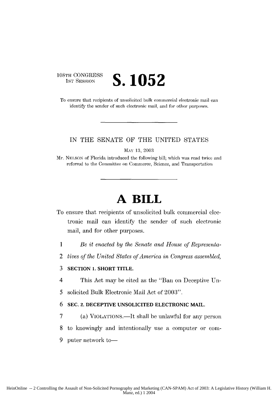108TH CONGRESS<br>1st Session

To ensure that recipients of unsolicited bulk commercial electronic mail can identify the sender of such electronic mail, and for other purposes.

S.1052

## IN THE SENATE OF THE UNITED STATES

**MAY** 13, 2003

Mr. **NELSON** of Florida introduced the following bill; which was read twice and referred to the Committee on Commerce, Science, and Transportation

### **A BILL**

- To ensure that recipients of unsolicited bulk commercial **elec**tronic mail can identify the sender of such electronic mail, and for other purposes.
	- *1* Be it enacted by the Senate and House of Representa-
	- 2 *tives of the United States ojfAmerica in Congress assembled,*

#### 3 SECTION **1. SHORT** TITLE.

- 4 This Act may be cited as the "Ban on Deceptive Un-
- *5* solicited Bulk Electronic Mail Act of 2003".

#### **6 SEC. 2. DECEPTIVE UNSOLICITED ELECTRONIC MAIL.**

- 7 (a) VIOLATIONS.—It shall be unlawful for any person
- **8** to knowingly and intentionally use a computer or **con-**
- 9 puter network to-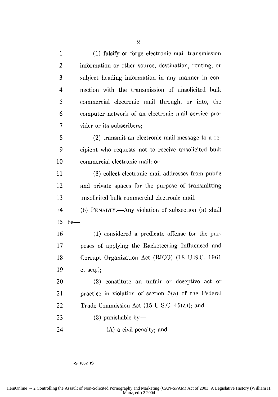1 (1) falsify or forge electronic mail transmission 2 information or other source, destination, routing, or **3** subject heading information in any manner in con-4 nection with the transmission of unsolicited bulk 5 commercial electronic mail through, or into, the 6 computer network of an electronic mail service pro-7 vider or its subscribers; 8 (2) transmit an electronic mail message to a re-9 cipient who requests not to receive unsolicited bulk 10 commercial electronic mail; or 11 (3) collect electronic mail addresses from public 12 and private spaces for the purpose of transmitting 13 unsolicited bulk commercial electronic mail. 14 (b) PENALTY.-Any violation of subsection (a) shall 15 be-16 (1) considered a predicate offense for the pur-**17** poses of applying the Racketeering Influenced and 18 Corrupt Organization Act (RICO) (18 U.S.C. 1961 19 et seq.); 20 (2) constitute an unfair or deceptive act or 21 practice in violation of section 5(a) of the Federal 22 Trade Commission Act (15 U.S.C. 45(a)); and  $23$  (3) punishable by — 24 (A) a civil penalty; and

**.S 1052 IS**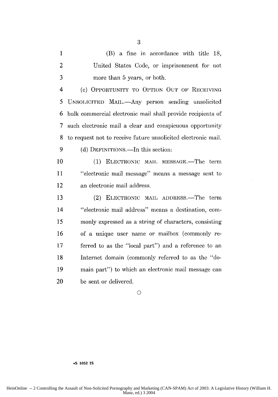1 (B) a fine in accordance with title 18, 2 United States Code, or imprisonment for not 3 more than 5 years, or both.

4 **(C)** OPPORTUNITY TO OPTION OUT OF RECEIVING <sup>5</sup>**UNSOLICITED** MIL.-Anv person sending unsolicited 6 bulk commercial electronic mail shall provide recipients of 7 such electronic mail a clear and conspicuous opportunity 8 to request not to receive future unsolicited electronic mail. 9 (d) DEFINITIONS.—In this section:

10 (1) ELECTRONIC MAIL MESSAGE.—The term 11 "electronic mail message" means a message sent to 12 an electronic mail address.

13 (2) ELECTRONIC MAIL ADDRESS.—The term 14 "electronic mail address" means a destination, con-15 monly expressed as a string of characters, consisting 16 of a unique user name or mailbox (commonly re-17 ferred to as the "local part") and a reference to an 18 Internet domain (commonly referred to as the "do-19 main part") to which an electronic mail message can 20 be sent or delivered.

**0**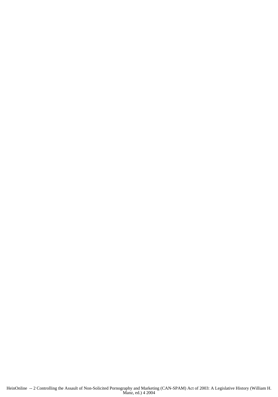HeinOnline -- 2 Controlling the Assault of Non-Solicited Pornography and Marketing (CAN-SPAM) Act of 2003: A Legislative History (William H. Manz, ed.) 4 2004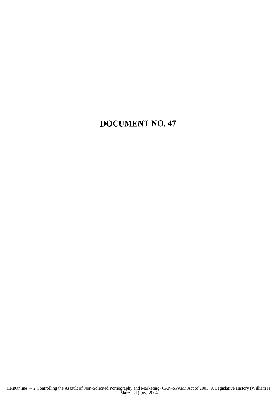### DOCUMENT NO. 47